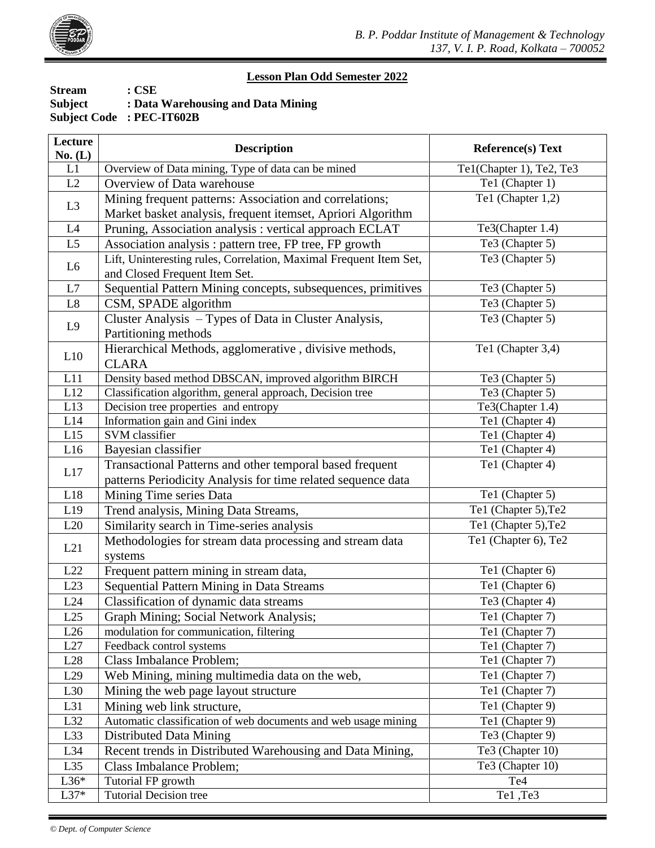

## **Lesson Plan Odd Semester 2022**

| <b>Stream</b>  | $: \mathbf{CSE}$                   |
|----------------|------------------------------------|
| <b>Subject</b> | : Data Warehousing and Data Mining |
|                | <b>Subject Code: PEC-IT602B</b>    |

| Overview of Data mining, Type of data can be mined<br>L1<br>Te1(Chapter 1), Te2, Te3<br>Te1 (Chapter 1)<br>L2<br>Overview of Data warehouse<br>Te1 (Chapter 1,2)<br>Mining frequent patterns: Association and correlations;<br>L3<br>Market basket analysis, frequent itemset, Apriori Algorithm<br>Te3(Chapter 1.4)<br>Pruning, Association analysis : vertical approach ECLAT<br>L4<br>Te3 (Chapter 5)<br>L5<br>Association analysis : pattern tree, FP tree, FP growth<br>Te3 (Chapter 5)<br>Lift, Uninteresting rules, Correlation, Maximal Frequent Item Set,<br>L <sub>6</sub><br>and Closed Frequent Item Set.<br>Sequential Pattern Mining concepts, subsequences, primitives<br>L7<br>Te3 (Chapter 5)<br>Te3 (Chapter 5)<br>L8<br>CSM, SPADE algorithm<br>Te3 (Chapter 5)<br>Cluster Analysis - Types of Data in Cluster Analysis,<br>L9<br>Partitioning methods<br>Hierarchical Methods, agglomerative, divisive methods,<br>Te1 (Chapter 3,4)<br>L10<br><b>CLARA</b><br>Density based method DBSCAN, improved algorithm BIRCH<br>L11<br>Te3 (Chapter 5)<br>$\overline{L}$ 12<br>Classification algorithm, general approach, Decision tree<br>Te3 (Chapter 5)<br>L13<br>Decision tree properties and entropy<br>Te3(Chapter 1.4)<br>L14<br>Information gain and Gini index<br>Te1 (Chapter 4)<br>L15<br>SVM classifier<br>Te1 (Chapter 4)<br>L16<br>Bayesian classifier<br>Te1 (Chapter 4)<br>Te1 (Chapter 4)<br>Transactional Patterns and other temporal based frequent<br>L17<br>patterns Periodicity Analysis for time related sequence data<br>Te1 (Chapter 5)<br>L18<br>Mining Time series Data<br>Trend analysis, Mining Data Streams,<br>Te1 (Chapter 5), Te2<br>L19<br>Te1 (Chapter 5), Te2<br>Similarity search in Time-series analysis<br>L20<br>Te1 (Chapter 6), Te2<br>Methodologies for stream data processing and stream data<br>L21<br>systems<br>Frequent pattern mining in stream data,<br>Te1 (Chapter 6)<br>L22<br>Te1 (Chapter 6)<br>L23<br>Sequential Pattern Mining in Data Streams<br>Te3 (Chapter 4)<br>L24<br>Classification of dynamic data streams<br>L25<br>Graph Mining; Social Network Analysis;<br>Te1 (Chapter 7)<br>modulation for communication, filtering<br>L26<br>Te1 (Chapter 7)<br>L27<br>Feedback control systems<br>Te1 (Chapter 7)<br>Te1 (Chapter 7)<br>Class Imbalance Problem;<br>L28<br>Te1 (Chapter 7)<br>Web Mining, mining multimedia data on the web,<br>L29<br>Te1 (Chapter 7)<br>Mining the web page layout structure<br>L30<br>Te1 (Chapter 9)<br>L31<br>Mining web link structure,<br>L32<br>Automatic classification of web documents and web usage mining<br>Te1 (Chapter 9)<br>L33<br>Te3 (Chapter 9)<br><b>Distributed Data Mining</b><br>Recent trends in Distributed Warehousing and Data Mining,<br>L34<br>Te3 (Chapter 10)<br>L35<br>Class Imbalance Problem;<br>Te3 (Chapter 10)<br>$L36*$<br>Tutorial FP growth<br>Te <sub>4</sub><br>$L37*$<br>Te1, Te3<br><b>Tutorial Decision tree</b> | Lecture<br>No. (L) | <b>Description</b> | <b>Reference(s) Text</b> |
|----------------------------------------------------------------------------------------------------------------------------------------------------------------------------------------------------------------------------------------------------------------------------------------------------------------------------------------------------------------------------------------------------------------------------------------------------------------------------------------------------------------------------------------------------------------------------------------------------------------------------------------------------------------------------------------------------------------------------------------------------------------------------------------------------------------------------------------------------------------------------------------------------------------------------------------------------------------------------------------------------------------------------------------------------------------------------------------------------------------------------------------------------------------------------------------------------------------------------------------------------------------------------------------------------------------------------------------------------------------------------------------------------------------------------------------------------------------------------------------------------------------------------------------------------------------------------------------------------------------------------------------------------------------------------------------------------------------------------------------------------------------------------------------------------------------------------------------------------------------------------------------------------------------------------------------------------------------------------------------------------------------------------------------------------------------------------------------------------------------------------------------------------------------------------------------------------------------------------------------------------------------------------------------------------------------------------------------------------------------------------------------------------------------------------------------------------------------------------------------------------------------------------------------------------------------------------------------------------------------------------------------------------------------------------------------------------------------------------------------------------------------------------------------------------------------------------------------------------------------------------------------------------------------------------------------------------------------------|--------------------|--------------------|--------------------------|
|                                                                                                                                                                                                                                                                                                                                                                                                                                                                                                                                                                                                                                                                                                                                                                                                                                                                                                                                                                                                                                                                                                                                                                                                                                                                                                                                                                                                                                                                                                                                                                                                                                                                                                                                                                                                                                                                                                                                                                                                                                                                                                                                                                                                                                                                                                                                                                                                                                                                                                                                                                                                                                                                                                                                                                                                                                                                                                                                                                      |                    |                    |                          |
|                                                                                                                                                                                                                                                                                                                                                                                                                                                                                                                                                                                                                                                                                                                                                                                                                                                                                                                                                                                                                                                                                                                                                                                                                                                                                                                                                                                                                                                                                                                                                                                                                                                                                                                                                                                                                                                                                                                                                                                                                                                                                                                                                                                                                                                                                                                                                                                                                                                                                                                                                                                                                                                                                                                                                                                                                                                                                                                                                                      |                    |                    |                          |
|                                                                                                                                                                                                                                                                                                                                                                                                                                                                                                                                                                                                                                                                                                                                                                                                                                                                                                                                                                                                                                                                                                                                                                                                                                                                                                                                                                                                                                                                                                                                                                                                                                                                                                                                                                                                                                                                                                                                                                                                                                                                                                                                                                                                                                                                                                                                                                                                                                                                                                                                                                                                                                                                                                                                                                                                                                                                                                                                                                      |                    |                    |                          |
|                                                                                                                                                                                                                                                                                                                                                                                                                                                                                                                                                                                                                                                                                                                                                                                                                                                                                                                                                                                                                                                                                                                                                                                                                                                                                                                                                                                                                                                                                                                                                                                                                                                                                                                                                                                                                                                                                                                                                                                                                                                                                                                                                                                                                                                                                                                                                                                                                                                                                                                                                                                                                                                                                                                                                                                                                                                                                                                                                                      |                    |                    |                          |
|                                                                                                                                                                                                                                                                                                                                                                                                                                                                                                                                                                                                                                                                                                                                                                                                                                                                                                                                                                                                                                                                                                                                                                                                                                                                                                                                                                                                                                                                                                                                                                                                                                                                                                                                                                                                                                                                                                                                                                                                                                                                                                                                                                                                                                                                                                                                                                                                                                                                                                                                                                                                                                                                                                                                                                                                                                                                                                                                                                      |                    |                    |                          |
|                                                                                                                                                                                                                                                                                                                                                                                                                                                                                                                                                                                                                                                                                                                                                                                                                                                                                                                                                                                                                                                                                                                                                                                                                                                                                                                                                                                                                                                                                                                                                                                                                                                                                                                                                                                                                                                                                                                                                                                                                                                                                                                                                                                                                                                                                                                                                                                                                                                                                                                                                                                                                                                                                                                                                                                                                                                                                                                                                                      |                    |                    |                          |
|                                                                                                                                                                                                                                                                                                                                                                                                                                                                                                                                                                                                                                                                                                                                                                                                                                                                                                                                                                                                                                                                                                                                                                                                                                                                                                                                                                                                                                                                                                                                                                                                                                                                                                                                                                                                                                                                                                                                                                                                                                                                                                                                                                                                                                                                                                                                                                                                                                                                                                                                                                                                                                                                                                                                                                                                                                                                                                                                                                      |                    |                    |                          |
|                                                                                                                                                                                                                                                                                                                                                                                                                                                                                                                                                                                                                                                                                                                                                                                                                                                                                                                                                                                                                                                                                                                                                                                                                                                                                                                                                                                                                                                                                                                                                                                                                                                                                                                                                                                                                                                                                                                                                                                                                                                                                                                                                                                                                                                                                                                                                                                                                                                                                                                                                                                                                                                                                                                                                                                                                                                                                                                                                                      |                    |                    |                          |
|                                                                                                                                                                                                                                                                                                                                                                                                                                                                                                                                                                                                                                                                                                                                                                                                                                                                                                                                                                                                                                                                                                                                                                                                                                                                                                                                                                                                                                                                                                                                                                                                                                                                                                                                                                                                                                                                                                                                                                                                                                                                                                                                                                                                                                                                                                                                                                                                                                                                                                                                                                                                                                                                                                                                                                                                                                                                                                                                                                      |                    |                    |                          |
|                                                                                                                                                                                                                                                                                                                                                                                                                                                                                                                                                                                                                                                                                                                                                                                                                                                                                                                                                                                                                                                                                                                                                                                                                                                                                                                                                                                                                                                                                                                                                                                                                                                                                                                                                                                                                                                                                                                                                                                                                                                                                                                                                                                                                                                                                                                                                                                                                                                                                                                                                                                                                                                                                                                                                                                                                                                                                                                                                                      |                    |                    |                          |
|                                                                                                                                                                                                                                                                                                                                                                                                                                                                                                                                                                                                                                                                                                                                                                                                                                                                                                                                                                                                                                                                                                                                                                                                                                                                                                                                                                                                                                                                                                                                                                                                                                                                                                                                                                                                                                                                                                                                                                                                                                                                                                                                                                                                                                                                                                                                                                                                                                                                                                                                                                                                                                                                                                                                                                                                                                                                                                                                                                      |                    |                    |                          |
|                                                                                                                                                                                                                                                                                                                                                                                                                                                                                                                                                                                                                                                                                                                                                                                                                                                                                                                                                                                                                                                                                                                                                                                                                                                                                                                                                                                                                                                                                                                                                                                                                                                                                                                                                                                                                                                                                                                                                                                                                                                                                                                                                                                                                                                                                                                                                                                                                                                                                                                                                                                                                                                                                                                                                                                                                                                                                                                                                                      |                    |                    |                          |
|                                                                                                                                                                                                                                                                                                                                                                                                                                                                                                                                                                                                                                                                                                                                                                                                                                                                                                                                                                                                                                                                                                                                                                                                                                                                                                                                                                                                                                                                                                                                                                                                                                                                                                                                                                                                                                                                                                                                                                                                                                                                                                                                                                                                                                                                                                                                                                                                                                                                                                                                                                                                                                                                                                                                                                                                                                                                                                                                                                      |                    |                    |                          |
|                                                                                                                                                                                                                                                                                                                                                                                                                                                                                                                                                                                                                                                                                                                                                                                                                                                                                                                                                                                                                                                                                                                                                                                                                                                                                                                                                                                                                                                                                                                                                                                                                                                                                                                                                                                                                                                                                                                                                                                                                                                                                                                                                                                                                                                                                                                                                                                                                                                                                                                                                                                                                                                                                                                                                                                                                                                                                                                                                                      |                    |                    |                          |
|                                                                                                                                                                                                                                                                                                                                                                                                                                                                                                                                                                                                                                                                                                                                                                                                                                                                                                                                                                                                                                                                                                                                                                                                                                                                                                                                                                                                                                                                                                                                                                                                                                                                                                                                                                                                                                                                                                                                                                                                                                                                                                                                                                                                                                                                                                                                                                                                                                                                                                                                                                                                                                                                                                                                                                                                                                                                                                                                                                      |                    |                    |                          |
|                                                                                                                                                                                                                                                                                                                                                                                                                                                                                                                                                                                                                                                                                                                                                                                                                                                                                                                                                                                                                                                                                                                                                                                                                                                                                                                                                                                                                                                                                                                                                                                                                                                                                                                                                                                                                                                                                                                                                                                                                                                                                                                                                                                                                                                                                                                                                                                                                                                                                                                                                                                                                                                                                                                                                                                                                                                                                                                                                                      |                    |                    |                          |
|                                                                                                                                                                                                                                                                                                                                                                                                                                                                                                                                                                                                                                                                                                                                                                                                                                                                                                                                                                                                                                                                                                                                                                                                                                                                                                                                                                                                                                                                                                                                                                                                                                                                                                                                                                                                                                                                                                                                                                                                                                                                                                                                                                                                                                                                                                                                                                                                                                                                                                                                                                                                                                                                                                                                                                                                                                                                                                                                                                      |                    |                    |                          |
|                                                                                                                                                                                                                                                                                                                                                                                                                                                                                                                                                                                                                                                                                                                                                                                                                                                                                                                                                                                                                                                                                                                                                                                                                                                                                                                                                                                                                                                                                                                                                                                                                                                                                                                                                                                                                                                                                                                                                                                                                                                                                                                                                                                                                                                                                                                                                                                                                                                                                                                                                                                                                                                                                                                                                                                                                                                                                                                                                                      |                    |                    |                          |
|                                                                                                                                                                                                                                                                                                                                                                                                                                                                                                                                                                                                                                                                                                                                                                                                                                                                                                                                                                                                                                                                                                                                                                                                                                                                                                                                                                                                                                                                                                                                                                                                                                                                                                                                                                                                                                                                                                                                                                                                                                                                                                                                                                                                                                                                                                                                                                                                                                                                                                                                                                                                                                                                                                                                                                                                                                                                                                                                                                      |                    |                    |                          |
|                                                                                                                                                                                                                                                                                                                                                                                                                                                                                                                                                                                                                                                                                                                                                                                                                                                                                                                                                                                                                                                                                                                                                                                                                                                                                                                                                                                                                                                                                                                                                                                                                                                                                                                                                                                                                                                                                                                                                                                                                                                                                                                                                                                                                                                                                                                                                                                                                                                                                                                                                                                                                                                                                                                                                                                                                                                                                                                                                                      |                    |                    |                          |
|                                                                                                                                                                                                                                                                                                                                                                                                                                                                                                                                                                                                                                                                                                                                                                                                                                                                                                                                                                                                                                                                                                                                                                                                                                                                                                                                                                                                                                                                                                                                                                                                                                                                                                                                                                                                                                                                                                                                                                                                                                                                                                                                                                                                                                                                                                                                                                                                                                                                                                                                                                                                                                                                                                                                                                                                                                                                                                                                                                      |                    |                    |                          |
|                                                                                                                                                                                                                                                                                                                                                                                                                                                                                                                                                                                                                                                                                                                                                                                                                                                                                                                                                                                                                                                                                                                                                                                                                                                                                                                                                                                                                                                                                                                                                                                                                                                                                                                                                                                                                                                                                                                                                                                                                                                                                                                                                                                                                                                                                                                                                                                                                                                                                                                                                                                                                                                                                                                                                                                                                                                                                                                                                                      |                    |                    |                          |
|                                                                                                                                                                                                                                                                                                                                                                                                                                                                                                                                                                                                                                                                                                                                                                                                                                                                                                                                                                                                                                                                                                                                                                                                                                                                                                                                                                                                                                                                                                                                                                                                                                                                                                                                                                                                                                                                                                                                                                                                                                                                                                                                                                                                                                                                                                                                                                                                                                                                                                                                                                                                                                                                                                                                                                                                                                                                                                                                                                      |                    |                    |                          |
|                                                                                                                                                                                                                                                                                                                                                                                                                                                                                                                                                                                                                                                                                                                                                                                                                                                                                                                                                                                                                                                                                                                                                                                                                                                                                                                                                                                                                                                                                                                                                                                                                                                                                                                                                                                                                                                                                                                                                                                                                                                                                                                                                                                                                                                                                                                                                                                                                                                                                                                                                                                                                                                                                                                                                                                                                                                                                                                                                                      |                    |                    |                          |
|                                                                                                                                                                                                                                                                                                                                                                                                                                                                                                                                                                                                                                                                                                                                                                                                                                                                                                                                                                                                                                                                                                                                                                                                                                                                                                                                                                                                                                                                                                                                                                                                                                                                                                                                                                                                                                                                                                                                                                                                                                                                                                                                                                                                                                                                                                                                                                                                                                                                                                                                                                                                                                                                                                                                                                                                                                                                                                                                                                      |                    |                    |                          |
|                                                                                                                                                                                                                                                                                                                                                                                                                                                                                                                                                                                                                                                                                                                                                                                                                                                                                                                                                                                                                                                                                                                                                                                                                                                                                                                                                                                                                                                                                                                                                                                                                                                                                                                                                                                                                                                                                                                                                                                                                                                                                                                                                                                                                                                                                                                                                                                                                                                                                                                                                                                                                                                                                                                                                                                                                                                                                                                                                                      |                    |                    |                          |
|                                                                                                                                                                                                                                                                                                                                                                                                                                                                                                                                                                                                                                                                                                                                                                                                                                                                                                                                                                                                                                                                                                                                                                                                                                                                                                                                                                                                                                                                                                                                                                                                                                                                                                                                                                                                                                                                                                                                                                                                                                                                                                                                                                                                                                                                                                                                                                                                                                                                                                                                                                                                                                                                                                                                                                                                                                                                                                                                                                      |                    |                    |                          |
|                                                                                                                                                                                                                                                                                                                                                                                                                                                                                                                                                                                                                                                                                                                                                                                                                                                                                                                                                                                                                                                                                                                                                                                                                                                                                                                                                                                                                                                                                                                                                                                                                                                                                                                                                                                                                                                                                                                                                                                                                                                                                                                                                                                                                                                                                                                                                                                                                                                                                                                                                                                                                                                                                                                                                                                                                                                                                                                                                                      |                    |                    |                          |
|                                                                                                                                                                                                                                                                                                                                                                                                                                                                                                                                                                                                                                                                                                                                                                                                                                                                                                                                                                                                                                                                                                                                                                                                                                                                                                                                                                                                                                                                                                                                                                                                                                                                                                                                                                                                                                                                                                                                                                                                                                                                                                                                                                                                                                                                                                                                                                                                                                                                                                                                                                                                                                                                                                                                                                                                                                                                                                                                                                      |                    |                    |                          |
|                                                                                                                                                                                                                                                                                                                                                                                                                                                                                                                                                                                                                                                                                                                                                                                                                                                                                                                                                                                                                                                                                                                                                                                                                                                                                                                                                                                                                                                                                                                                                                                                                                                                                                                                                                                                                                                                                                                                                                                                                                                                                                                                                                                                                                                                                                                                                                                                                                                                                                                                                                                                                                                                                                                                                                                                                                                                                                                                                                      |                    |                    |                          |
|                                                                                                                                                                                                                                                                                                                                                                                                                                                                                                                                                                                                                                                                                                                                                                                                                                                                                                                                                                                                                                                                                                                                                                                                                                                                                                                                                                                                                                                                                                                                                                                                                                                                                                                                                                                                                                                                                                                                                                                                                                                                                                                                                                                                                                                                                                                                                                                                                                                                                                                                                                                                                                                                                                                                                                                                                                                                                                                                                                      |                    |                    |                          |
|                                                                                                                                                                                                                                                                                                                                                                                                                                                                                                                                                                                                                                                                                                                                                                                                                                                                                                                                                                                                                                                                                                                                                                                                                                                                                                                                                                                                                                                                                                                                                                                                                                                                                                                                                                                                                                                                                                                                                                                                                                                                                                                                                                                                                                                                                                                                                                                                                                                                                                                                                                                                                                                                                                                                                                                                                                                                                                                                                                      |                    |                    |                          |
|                                                                                                                                                                                                                                                                                                                                                                                                                                                                                                                                                                                                                                                                                                                                                                                                                                                                                                                                                                                                                                                                                                                                                                                                                                                                                                                                                                                                                                                                                                                                                                                                                                                                                                                                                                                                                                                                                                                                                                                                                                                                                                                                                                                                                                                                                                                                                                                                                                                                                                                                                                                                                                                                                                                                                                                                                                                                                                                                                                      |                    |                    |                          |
|                                                                                                                                                                                                                                                                                                                                                                                                                                                                                                                                                                                                                                                                                                                                                                                                                                                                                                                                                                                                                                                                                                                                                                                                                                                                                                                                                                                                                                                                                                                                                                                                                                                                                                                                                                                                                                                                                                                                                                                                                                                                                                                                                                                                                                                                                                                                                                                                                                                                                                                                                                                                                                                                                                                                                                                                                                                                                                                                                                      |                    |                    |                          |
|                                                                                                                                                                                                                                                                                                                                                                                                                                                                                                                                                                                                                                                                                                                                                                                                                                                                                                                                                                                                                                                                                                                                                                                                                                                                                                                                                                                                                                                                                                                                                                                                                                                                                                                                                                                                                                                                                                                                                                                                                                                                                                                                                                                                                                                                                                                                                                                                                                                                                                                                                                                                                                                                                                                                                                                                                                                                                                                                                                      |                    |                    |                          |
|                                                                                                                                                                                                                                                                                                                                                                                                                                                                                                                                                                                                                                                                                                                                                                                                                                                                                                                                                                                                                                                                                                                                                                                                                                                                                                                                                                                                                                                                                                                                                                                                                                                                                                                                                                                                                                                                                                                                                                                                                                                                                                                                                                                                                                                                                                                                                                                                                                                                                                                                                                                                                                                                                                                                                                                                                                                                                                                                                                      |                    |                    |                          |
|                                                                                                                                                                                                                                                                                                                                                                                                                                                                                                                                                                                                                                                                                                                                                                                                                                                                                                                                                                                                                                                                                                                                                                                                                                                                                                                                                                                                                                                                                                                                                                                                                                                                                                                                                                                                                                                                                                                                                                                                                                                                                                                                                                                                                                                                                                                                                                                                                                                                                                                                                                                                                                                                                                                                                                                                                                                                                                                                                                      |                    |                    |                          |